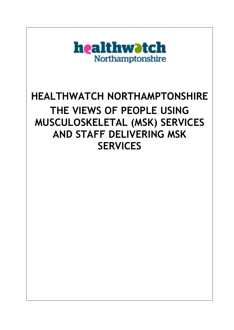

# **HEALTHWATCH NORTHAMPTONSHIRE THE VIEWS OF PEOPLE USING MUSCULOSKELETAL (MSK) SERVICES AND STAFF DELIVERING MSK SERVICES**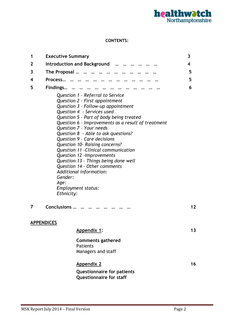

#### **CONTENTS:**

| 1 | <b>Executive Summary</b>                                                       |                                                                                                                                                                                                                                                                                                                                                                                                                                                                                                                          | 3                       |
|---|--------------------------------------------------------------------------------|--------------------------------------------------------------------------------------------------------------------------------------------------------------------------------------------------------------------------------------------------------------------------------------------------------------------------------------------------------------------------------------------------------------------------------------------------------------------------------------------------------------------------|-------------------------|
| 2 |                                                                                | Introduction and Background                                                                                                                                                                                                                                                                                                                                                                                                                                                                                              | $\overline{\mathbf{4}}$ |
| 3 |                                                                                | The Proposal                                                                                                                                                                                                                                                                                                                                                                                                                                                                                                             | 5                       |
| 4 | Process                                                                        |                                                                                                                                                                                                                                                                                                                                                                                                                                                                                                                          | 5                       |
| 5 | Findings                                                                       |                                                                                                                                                                                                                                                                                                                                                                                                                                                                                                                          | 6                       |
|   | Additional information:<br>Gender:<br>Age:<br>Employment status:<br>Ethnicity: | Question 1 - Referral to Service<br>Question 2 - First appointment<br>Question 3 - Follow-up appointment<br>Question 4 - Services used<br>Question 5 - Part of body being treated<br>Question 6 - Improvements as a result of treatment<br>Question 7 - Your needs<br>Question 8 - Able to ask questions?<br>Question 9 - Care decisions<br>Question 10- Raising concerns?<br>Question 11 - Clinical communication<br>Question 12 - Improvements<br>Question 13 - Things being done well<br>Question 14 - Other comments |                         |
| 7 | Conclusions                                                                    |                                                                                                                                                                                                                                                                                                                                                                                                                                                                                                                          | $12 \ \mathrm{$         |
|   | <b>APPENDICES</b>                                                              |                                                                                                                                                                                                                                                                                                                                                                                                                                                                                                                          |                         |
|   |                                                                                | Appendix 1:                                                                                                                                                                                                                                                                                                                                                                                                                                                                                                              | 13                      |
|   |                                                                                | <b>Comments gathered</b><br><b>Patients</b><br>Managers and staff                                                                                                                                                                                                                                                                                                                                                                                                                                                        |                         |
|   |                                                                                | <b>Appendix 2</b>                                                                                                                                                                                                                                                                                                                                                                                                                                                                                                        | 16                      |
|   |                                                                                | <b>Questionnaire for patients</b><br><b>Questionnaire for staff</b>                                                                                                                                                                                                                                                                                                                                                                                                                                                      |                         |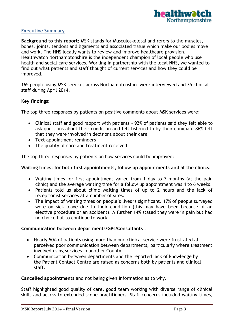

# **Executive Summary**

**Background to this report:** MSK stands for Musculoskeletal and refers to the muscles, bones, joints, tendons and ligaments and associated tissue which make our bodies move and work. The NHS locally wants to review and improve healthcare provision. Healthwatch Northamptonshire is the independent champion of local people who use health and social care services. Working in partnership with the local NHS, we wanted to find out what patients and staff thought of current services and how they could be improved.

165 people using MSK services across Northamptonshire were interviewed and 35 clinical staff during April 2014.

#### **Key findings:**

The top three responses by patients on positive comments about MSK services were:

- Clinical staff and good rapport with patients 92% of patients said they felt able to ask questions about their condition and felt listened to by their clinician. 86% felt that they were involved in decisions about their care
- Text appointment reminders
- The quality of care and treatment received

The top three responses by patients on how services could be improved:

#### **Waiting times: for both first appointments, follow up appointments and at the clinic**s:

- Waiting times for first appointment varied from 1 day to 7 months (at the pain clinic) and the average waiting time for a follow up appointment was 4 to 6 weeks.
- Patients told us about clinic waiting times of up to 2 hours and the lack of receptionist services at a number of sites.
- The impact of waiting times on people's lives is significant. 17% of people surveyed were on sick leave due to their condition (this may have been because of an elective procedure or an accident). A further 14% stated they were in pain but had no choice but to continue to work.

#### **Communication between departments/GPs/Consultants :**

- Nearly 50% of patients using more than one clinical service were frustrated at perceived poor communication between departments, particularly where treatment involved using services in another County
- Communication between departments and the reported lack of knowledge by the Patient Contact Centre are raised as concerns both by patients and clinical staff.

**Cancelled appointments** and not being given information as to why.

Staff highlighted good quality of care, good team working with diverse range of clinical skills and access to extended scope practitioners. Staff concerns included waiting times,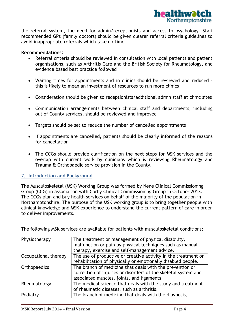

the referral system, the need for admin/receptionists and access to psychology. Staff recommended GPs (family doctors) should be given clearer referral criteria guidelines to avoid inappropriate referrals which take up time.

#### **Recommendations:**

- Referral criteria should be reviewed in consultation with local patients and patient organisations, such as Arthritis Care and the British Society for Rheumatology, and evidence based best practice followed
- Waiting times for appointments and in clinics should be reviewed and reduced this is likely to mean an investment of resources to run more clinics
- Consideration should be given to receptionists/additional admin staff at clinic sites
- Communication arrangements between clinical staff and departments, including out of County services, should be reviewed and improved
- Targets should be set to reduce the number of cancelled appointments
- If appointments are cancelled, patients should be clearly informed of the reasons for cancellation
- The CCGs should provide clarification on the next steps for MSK services and the overlap with current work by clinicians which is reviewing Rheumatology and Trauma & Orthopaedic service provision in the County.

#### **2. Introduction and Background**

The Musculoskeletal (MSK) Working Group was formed by Nene Clinical Commissioning Group (CCG) in association with Corby Clinical Commissioning Group in October 2013. The CCGs plan and buy health services on behalf of the majority of the population in Northamptonshire. The purpose of the MSK working group is to bring together people with clinical knowledge and MSK experience to understand the current pattern of care in order to deliver improvements.

The following MSK services are available for patients with musculoskeletal conditions:

| The treatment or management of physical disability,            |
|----------------------------------------------------------------|
| malfunction or pain by physical techniques such as manual      |
| therapy, exercise and self-management advice.                  |
| The use of productive or creative activity in the treatment or |
| rehabilitation of physically or emotionally disabled people.   |
| The branch of medicine that deals with the prevention or       |
| correction of injuries or disorders of the skeletal system and |
| associated muscles, joints, and ligaments                      |
| The medical science that deals with the study and treatment    |
| of rheumatic diseases, such as arthritis.                      |
| The branch of medicine that deals with the diagnosis,          |
|                                                                |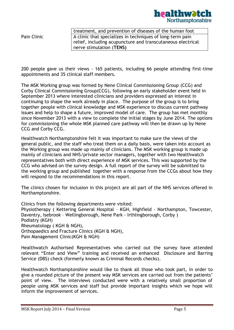

treatment, and prevention of diseases of the human foot Pain Clinic  $\boxed{\overline{\mathsf{A}}\xspace}$  Clinic that specializes in techniques of long-term pain relief, including acupuncture and transcutaneous electrical nerve stimulation (**TENS)**

200 people gave us their views - 165 patients, including 66 people attending first-time appointments and 35 clinical staff members.

The MSK Working group was formed by Nene Clinical Commissioning Group (CCG) and Corby Clinical Commissioning Group(CCG), following an early stakeholder event held in September 2013 where interested clinicians and providers expressed an interest in continuing to shape the work already in place. The purpose of the group is to bring together people with clinical knowledge and MSK experience to discuss current pathway issues and help to shape a future, improved model of care. The group has met monthly since November 2013 with a view to complete the initial stages by June 2014. The options for commissioning the whole MSK planned care pathway will then be drawn up by Nene CCG and Corby CCG.

Healthwatch Northamptonshire felt it was important to make sure the views of the general public, and the staff who treat them on a daily basis, were taken into account as the Working group was made up mainly of clinicians. The MSK working group is made up mainly of clinicians and NHS/private sector managers, together with two Healthwatch representatives both with direct experience of MSK services. This was supported by the CCG who advised on the survey design. A full report of the survey will be submitted to the working group and published together with a response from the CCGs about how they will respond to the recommendations in this report.

The clinics chosen for inclusion in this project are all part of the NHS services offered in Northamptonshire.

Clinics from the following departments were visited: Physiotherapy ( Kettering General Hospital – KGH, Highfield - Northampton, Towcester, Daventry, Isebrook – Wellingborough, Nene Park - Irthlingborough, Corby ) Podiatry (KGH) Rheumatology ( KGH & NGH), Orthopaedics and Fracture Clinics (KGH & NGH), Pain Management Clinic(KGH & NGH)

Healthwatch Authorised Representatives who carried out the survey have attended relevant "Enter and View" training and received an enhanced Disclosure and Barring Service (DBS) check (formerly known as Criminal Records checks).

Healthwatch Northamptonshire would like to thank all those who took part, in order to give a rounded picture of the present way MSK services are carried out from the patients' point of view. The interviews conducted were with a relatively small proportion of people using MSK services and staff but provide important insights which we hope will inform the improvement of services.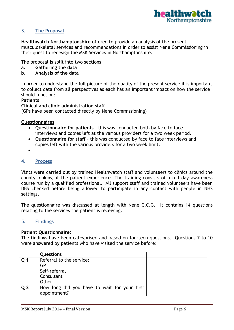

# **3. The Proposal**

**Healthwatch Northamptonshire** offered to provide an analysis of the present musculoskeletal services and recommendations in order to assist Nene Commissioning in their quest to redesign the MSK Services in Northamptonshire.

The proposal is split into two sections

- **a. Gathering the data**
- **b. Analysis of the data**

In order to understand the full picture of the quality of the present service it is important to collect data from all perspectives as each has an important impact on how the service should function:

#### **Patients**

**Clinical and clinic administration staff**

(GPs have been contacted directly by Nene Commissioning)

**Questionnaires**

- **Questionnaire for patients** this was conducted both by face to face interviews and copies left at the various providers for a two week period.
- **Questionnaire for staff** this was conducted by face to face interviews and copies left with the various providers for a two week limit.
- $\bullet$

#### **4. Process**

Visits were carried out by trained Healthwatch staff and volunteers to clinics around the county looking at the patient experience. The training consists of a full day awareness course run by a qualified professional. All support staff and trained volunteers have been DBS checked before being allowed to participate in any contact with people in NHS settings.

The questionnaire was discussed at length with Nene C.C.G. It contains 14 questions relating to the services the patient is receiving.

#### **5. Findings**

#### **Patient Questionnaire:**

The findings have been categorised and based on fourteen questions. Questions 7 to 10 were answered by patients who have visited the service before:

|                | <b>Questions</b>                             |  |
|----------------|----------------------------------------------|--|
| Q <sub>1</sub> | Referral to the service:                     |  |
|                | GP                                           |  |
|                | Self-referral                                |  |
|                | Consultant                                   |  |
|                | Other                                        |  |
| Q <sub>2</sub> | How long did you have to wait for your first |  |
|                | appointment?                                 |  |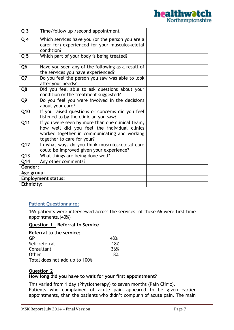

| $\overline{Q}$ 3  | Time/follow up /second appointment                                                                                                                                             |  |
|-------------------|--------------------------------------------------------------------------------------------------------------------------------------------------------------------------------|--|
| Q <sub>4</sub>    | Which services have you (or the person you are a<br>carer for) experienced for your musculoskeletal<br>condition?                                                              |  |
| Q <sub>5</sub>    | Which part of your body is being treated?                                                                                                                                      |  |
| Q <sub>6</sub>    | Have you seen any of the following as a result of<br>the services you have experienced?                                                                                        |  |
| Q7                | Do you feel the person you saw was able to look<br>after your needs?                                                                                                           |  |
| Q8                | Did you feel able to ask questions about your<br>condition or the treatment suggested?                                                                                         |  |
| Q9                | Do you feel you were involved in the decisions<br>about your care?                                                                                                             |  |
| Q10               | If you raised questions or concerns did you feel<br>listened to by the clinician you saw?                                                                                      |  |
| $\overline{Q11}$  | If you were seen by more than one clinical team,<br>how well did you feel the individual clinics<br>worked together in communicating and working<br>together to care for your? |  |
| Q12               | In what ways do you think musculoskeletal care<br>could be improved given your experience?                                                                                     |  |
| $\overline{Q13}$  | What things are being done well?                                                                                                                                               |  |
| Q14               | Any other comments?                                                                                                                                                            |  |
| Gender:           |                                                                                                                                                                                |  |
| Age group:        |                                                                                                                                                                                |  |
|                   | <b>Employment status:</b>                                                                                                                                                      |  |
| <b>Ethnicity:</b> |                                                                                                                                                                                |  |

#### **Patient Questionnaire:**

165 patients were interviewed across the services, of these 66 were first time appointments.(40%)

#### **Question 1 - Referral to Service**

| Referral to the service:      |     |
|-------------------------------|-----|
| GP                            | 48% |
| Self-referral                 | 18% |
| Consultant                    | 36% |
| Other                         | 8%  |
| Total does not add up to 100% |     |

#### **Question 2**

#### **How long did you have to wait for your first appointment?**

This varied from 1 day (Physiotherapy) to seven months (Pain Clinic). Patients who complained of acute pain appeared to be given earlier appointments, than the patients who didn't complain of acute pain. The main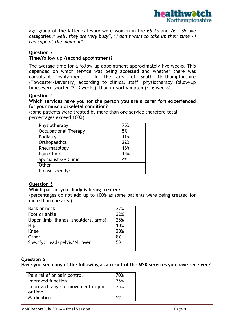

age group of the latter category were women in the 66-75 and 76 – 85 age categories *("well, they are very busy", "I don't want to take up their time – I can cope at the moment*".

# **Question 3**

#### **Time/follow up /second appointment?**

The average time for a follow-up appointment approximately five weeks. This depended on which service was being accessed and whether there was consultant involvement. In the area of South Northamptonshire (Towcester/Daventry) according to clinical staff, physiotherapy follow-up times were shorter (2 -3 weeks) than in Northampton (4 -6 weeks).

#### **Question 4**

#### **Which services have you (or the person you are a carer for) experienced for your musculoskeletal condition?**

(some patients were treated by more than one service therefore total percentages exceed 100%)

| Physiotherapy               | 75% |
|-----------------------------|-----|
| <b>Occupational Therapy</b> | 5%  |
| Podiatry                    | 11% |
| Orthopaedics                | 22% |
| Rheumatology                | 16% |
| Pain Clinic                 | 14% |
| <b>Specialist GP Clinic</b> | 4%  |
| Other                       |     |
| Please specify:             |     |

#### **Question 5**

#### **Which part of your body is being treated?**

(percentages do not add up to 100% as some patients were being treated for more than one area)

| Back or neck                        | 32% |
|-------------------------------------|-----|
| Foot or ankle                       | 32% |
| Upper limb (hands, shoulders, arms) | 25% |
| Hip                                 | 10% |
| Knee                                | 20% |
| Other:                              | 8%  |
| Specify: Head/pelvis/All over       | 5%  |
|                                     |     |

# **Question 6**

**Have you seen any of the following as a result of the MSK services you have received?**

| Pain relief or pain control                    | 70% |
|------------------------------------------------|-----|
| Improved function                              | 75% |
| Improved range of movement in joint<br>or limb | 75% |
| Medication                                     | .5% |
|                                                |     |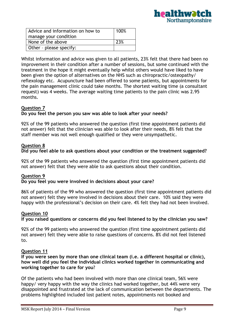

| Advice and information on how to | 100% |
|----------------------------------|------|
| manage your condition            |      |
| None of the above                | 23%  |
| Other - please specify:          |      |

Whilst information and advice was given to all patients, 23% felt that there had been no improvement in their condition after a number of sessions, but some continued with the treatment in the hope it might eventually help whilst others would have liked to have been given the option of alternatives on the NHS such as chiropractic/osteopathy/ reflexology etc. Acupuncture had been offered to some patients, but appointments for the pain management clinic could take months. The shortest waiting time (a consultant request) was 4 weeks. The average waiting time patients to the pain clinic was 2.95 months.

# **Question 7**

#### **Do you feel the person you saw was able to look after your needs?**

92% of the 99 patients who answered the question (first time appointment patients did not answer) felt that the clinician was able to look after their needs, 8% felt that the staff member was not well enough qualified or they were unsympathetic.

# **Question 8**

# **Did you feel able to ask questions about your condition or the treatment suggested?**

92% of the 99 patients who answered the question (first time appointment patients did not answer) felt that they were able to ask questions about their condition.

# **Question 9**

#### **Do you feel you were involved in decisions about your care?**

86% of patients of the 99 who answered the question (first time appointment patients did not answer) felt they were involved in decisions about their care. 10% said they were happy with the professional's decision on their care. 4% felt they had not been involved.

#### **Question 10**

# **If you raised questions or concerns did you feel listened to by the clinician you saw?**

92% of the 99 patients who answered the question (first time appointment patients did not answer) felt they were able to raise questions of concerns. 8% did not feel listened to.

# **Question 11**

**If you were seen by more than one clinical team (i.e. a different hospital or clinic), how well did you feel the individual clinics worked together in communicating and working together to care for you**?

Of the patients who had been involved with more than one clinical team, 56% were happy/ very happy with the way the clinics had worked together, but 44% were very disappointed and frustrated at the lack of communication between the departments. The problems highlighted included lost patient notes, appointments not booked and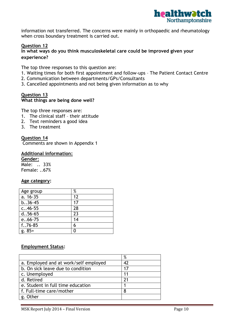

information not transferred. The concerns were mainly in orthopaedic and rheumatology when cross boundary treatment is carried out.

# **Question 12**

# **In what ways do you think musculoskeletal care could be improved given your experience?**

The top three responses to this question are:

- 1. Waiting times for both first appointment and follow-ups The Patient Contact Centre
- 2. Communication between departments/GPs/Consultants
- 3. Cancelled appointments and not being given information as to why

#### **Question 13 What things are being done well?**

The top three responses are:

- 1. The clinical staff their attitude
- 2. Text reminders a good idea
- 3. The treatment

#### **Question 14**

Comments are shown in Appendix 1

#### **Additional information:**

**Gender:** Male: .. 33% Female: ..67%

#### **Age category:**

| Age group             | %  |
|-----------------------|----|
| a. $16-3\overline{5}$ | 12 |
| $b. .36 - 45$         | 17 |
| $c. .46 - 55$         | 28 |
| $d.56 - 65$           | 23 |
| $e.66 - 75$           | 14 |
| $f. .76 - 85$         | 6  |
| $g. 85+$              | Π  |

#### **Employment Status:**

|                                       | $\%$ |
|---------------------------------------|------|
| a. Employed and at work/self employed | 42   |
| b. On sick leave due to condition     | 17   |
| c. Unemployed                         | 11   |
| d. Retired                            | 21   |
| e. Student in full time education     |      |
| f. Full-time care/mother              | 8    |
| g. Other                              |      |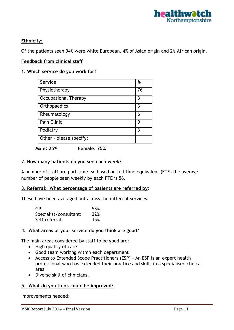

# **Ethnicity:**

Of the patients seen 94% were white European, 4% of Asian origin and 2% African origin.

#### **Feedback from clinical staff**

#### **1. Which service do you work for?**

| Service                     | %  |
|-----------------------------|----|
| Physiotherapy               | 76 |
| <b>Occupational Therapy</b> | 3  |
| Orthopaedics                | 3  |
| Rheumatology                | 6  |
| Pain Clinic                 | g  |
| Podiatry                    | 3  |
| Other - please specify:     |    |

**Male: 25% Female: 75%**

#### **2. How many patients do you see each week?**

A number of staff are part time, so based on full time equivalent (FTE) the average number of people seen weekly by each FTE is 56.

#### **3. Referral: What percentage of patients are referred by**:

These have been averaged out across the different services:

| GP:                    | 53% |
|------------------------|-----|
| Specialist/consultant: | 32% |
| Self-referral:         | 15% |

#### **4. What areas of your service do you think are good?**

The main areas considered by staff to be good are:

- High quality of care
- Good team working within each department
- Access to Extended Scope Practitioners (ESP) An ESP is an expert health professional who has extended their practice and skills in a specialised clinical area
- Diverse skill of clinicians.

#### **5. What do you think could be improved?**

Improvements needed: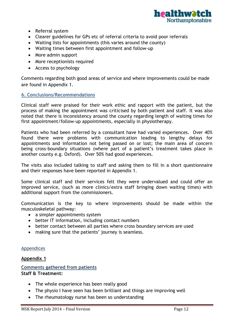

- Referral system
- Clearer guidelines for GPs etc of referral criteria to avoid poor referrals
- Waiting lists for appointments (this varies around the county)
- Waiting times between first appointment and follow-up
- More admin support
- More receptionists required
- Access to psychology

Comments regarding both good areas of service and where improvements could be made are found in Appendix 1.

#### **6. Conclusions/Recommendations**

Clinical staff were praised for their work ethic and rapport with the patient, but the process of making the appointment was criticised by both patient and staff. It was also noted that there is inconsistency around the county regarding length of waiting times for first appointment/follow-up appointments, especially in physiotherapy.

Patients who had been referred by a consultant have had varied experiences. Over 40% found there were problems with communication leading to lengthy delays for appointments and information not being passed on or lost; the main area of concern being cross-boundary situations (where part of a patient's treatment takes place in another county e.g. Oxford). Over 50% had good experiences.

The visits also included talking to staff and asking them to fill in a short questionnaire and their responses have been reported in Appendix 1.

Some clinical staff and their services felt they were undervalued and could offer an improved service, (such as more clinics/extra staff bringing down waiting times) with additional support from the commissioners.

Communication is the key to where improvements should be made within the musculoskeletal pathway:

- a simpler appointments system
- better IT information, including contact numbers
- better contact between all parties where cross boundary services are used
- making sure that the patients' journey is seamless.

#### Appendices

#### **Appendix 1**

#### **Comments gathered from patients Staff & Treatment:**

- The whole experience has been really good
- The physio I have seen has been brilliant and things are improving well
- The rheumatology nurse has been so understanding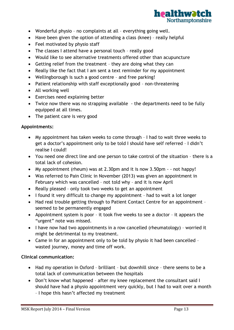

- Wonderful physio no complaints at all everything going well.
- Have been given the option of attending a class (knee) really helpful
- Feel motivated by physio staff
- The classes I attend have a personal touch really good
- Would like to see alternative treatments offered other than acupuncture
- Getting relief from the treatment they are doing what they can
- Really like the fact that I am sent a text reminder for my appointment
- Wellingborough is such a good centre and free parking!
- Patient relationship with staff exceptionally good non-threatening
- All working well
- Exercises need explaining better
- Twice now there was no strapping available the departments need to be fully equipped at all times.
- The patient care is very good

# **Appointments:**

- My appointment has taken weeks to come through I had to wait three weeks to get a doctor's appointment only to be told I should have self referred – I didn't realise I could!
- You need one direct line and one person to take control of the situation there is a total lack of cohesion.
- My appointment (rheum) was at 2.30pm and it is now 3.50pm  $-$  not happy!
- Was referred to Pain Clinic in November (2013) was given an appointment in February which was cancelled – not told why – and it is now April
- Really pleased only took two weeks to get an appointment
- I found it very difficult to change my appointment had to wait a lot longer
- Had real trouble getting through to Patient Contact Centre for an appointment seemed to be permanently engaged
- Appointment system is poor it took five weeks to see a doctor it appears the "urgent" note was missed.
- I have now had two appointments in a row cancelled (rheumatology) worried it might be detrimental to my treatment.
- Came in for an appointment only to be told by physio it had been cancelled wasted journey, money and time off work.

# **Clinical communication:**

- Had my operation in Oxford brilliant but downhill since there seems to be a total lack of communication between the hospitals
- Don't know what happened after my knee replacement the consultant said I should have had a physio appointment very quickly, but I had to wait over a month – I hope this hasn't affected my treatment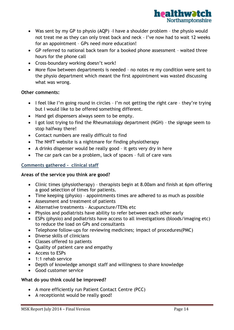

- Was sent by my GP to physio (AQP) –I have a shoulder problem the physio would not treat me as they can only treat back and neck – I've now had to wait 12 weeks for an appointment – GPs need more education!
- GP referred to national back team for a booked phone assessment waited three hours for the phone call
- Cross-boundary working doesn't work!
- More flow between departments is needed no notes re my condition were sent to the physio department which meant the first appointment was wasted discussing what was wrong.

# **Other comments:**

- I feel like I'm going round in circles I'm not getting the right care they're trying but I would like to be offered something different.
- Hand gel dispensers always seem to be empty.
- I got lost trying to find the Rheumatology department (NGH) the signage seem to stop halfway there!
- Contact numbers are really difficult to find
- The NHfT website is a nightmare for finding physiotherapy
- A drinks dispenser would be really good it gets very dry in here
- The car park can be a problem, lack of spaces full of care vans

# **Comments gathered - clinical staff**

#### **Areas of the service you think are good?**

- Clinic times (physiotherapy) therapists begin at 8.00am and finish at 6pm offering a good selection of times for patients.
- Time keeping (physio) appointments times are adhered to as much as possible
- Assessment and treatment of patients
- Alternative treatments Acupuncture/TENs etc
- Physios and podiatrists have ability to refer between each other early
- ESPs (physio) and podiatrists have access to all investigations (bloods/imaging etc) to reduce the load on GPs and consultants
- Telephone follow-ups for reviewing medicines; impact of procedures(PMC)
- Diverse skills of clinicians
- Classes offered to patients
- Ouality of patient care and empathy
- Access to ESPs
- 1:1 rehab service
- Depth of knowledge amongst staff and willingness to share knowledge
- Good customer service

#### **What do you think could be improved?**

- A more efficiently run Patient Contact Centre (PCC)
- A receptionist would be really good!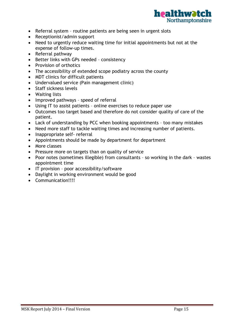

- Referral system routine patients are being seen in urgent slots
- Receptionist/admin support
- Need to urgently reduce waiting time for initial appointments but not at the expense of follow-up times.
- Referral pathway
- Better links with GPs needed consistency
- Provision of orthotics
- The accessibility of extended scope podiatry across the county
- MDT clinics for difficult patients
- Undervalued service (Pain management clinic)
- Staff sickness levels
- Waiting lists
- Improved pathways speed of referral
- Using IT to assist patients online exercises to reduce paper use
- Outcomes too target based and therefore do not consider quality of care of the patient.
- Lack of understanding by PCC when booking appointments too many mistakes
- Need more staff to tackle waiting times and increasing number of patients.
- Inappropriate self- referral
- Appointments should be made by department for department
- More classes
- Pressure more on targets than on quality of service
- Poor notes (sometimes illegible) from consultants so working in the dark wastes appointment time
- IT provision poor accessibility/software
- Daylight in working environment would be good
- Communication!!!!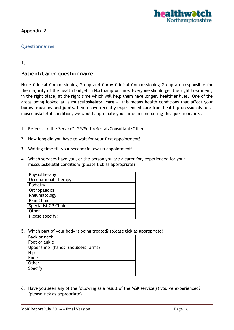

**Appendix 2**

# **Questionnaires**

#### **1.**

# **Patient/Carer questionnaire**

Nene Clinical Commissioning Group and Corby Clinical Commissioning Group are responsible for the majority of the health budget in Northamptonshire. Everyone should get the right treatment, in the right place, at the right time which will help them have longer, healthier lives. One of the areas being looked at is **musculoskeletal care -** this means health conditions that affect your **bones, muscles and joints**. If you have recently experienced care from health professionals for a musculoskeletal condition, we would appreciate your time in completing this questionnaire..

- 1. Referral to the Service? GP/Self referral/Consultant/Other
- 2. How long did you have to wait for your first appointment?
- 3. Waiting time till your second/follow-up appointment?
- 4. Which services have you, or the person you are a carer for, experienced for your musculoskeletal condition? (please tick as appropriate)

| Physiotherapy               |  |
|-----------------------------|--|
| Occupational Therapy        |  |
| Podiatry                    |  |
| Orthopaedics                |  |
| Rheumatology                |  |
| Pain Clinic                 |  |
| <b>Specialist GP Clinic</b> |  |
| Other                       |  |
| Please specify:             |  |

5. Which part of your body is being treated? (please tick as appropriate)

| Back or neck                        |  |
|-------------------------------------|--|
| Foot or ankle                       |  |
| Upper limb (hands, shoulders, arms) |  |
| Hip                                 |  |
| Knee                                |  |
| Other:                              |  |
| Specify:                            |  |
|                                     |  |

6. Have you seen any of the following as a result of the MSK service(s) you've experienced? (please tick as appropriate)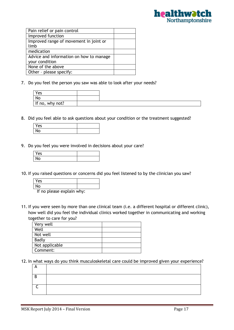

7. Do you feel the person you saw was able to look after your needs?

| Yes             |  |
|-----------------|--|
| No              |  |
| If no, why not? |  |

8. Did you feel able to ask questions about your condition or the treatment suggested?

| Yes |  |
|-----|--|
| N٥  |  |

9. Do you feel you were involved in decisions about your care?

| Yes |  |
|-----|--|
| ٧о  |  |

10. If you raised questions or concerns did you feel listened to by the clinician you saw?

| Yes                       |  |
|---------------------------|--|
|                           |  |
| If no plasse evolain why: |  |

- If no please explain why:
- 11. If you were seen by more than one clinical team (i.e. a different hospital or different clinic), how well did you feel the individual clinics worked together in communicating and working together to care for you?

| Very well      |  |
|----------------|--|
| Well           |  |
| Not well       |  |
| Badly          |  |
| Not applicable |  |
| Comment:       |  |

12. In what ways do you think musculoskeletal care could be improved given your experience?

| <b>n</b> |  |
|----------|--|
| D        |  |
|          |  |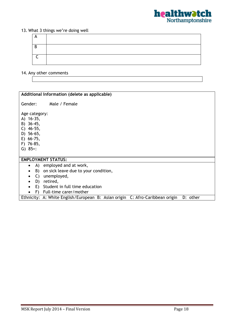

# 13. What 3 things we're doing well

| $\overline{a}$ |  |
|----------------|--|
| <b>D</b><br>◡  |  |
|                |  |

# 14. Any other comments

| Additional Information (delete as applicable)                                                               |  |  |
|-------------------------------------------------------------------------------------------------------------|--|--|
| Male / Female<br>Gender:                                                                                    |  |  |
| Age category:<br>A) 16-35,<br>B) 36-45,<br>$C)$ 46-55,<br>D) 56-65,<br>E) 66-75,<br>F) 76-85,<br>$G) 85+$ : |  |  |
| <b>EMPLOYMENT STATUS:</b>                                                                                   |  |  |
| A) employed and at work,<br>$\bullet$                                                                       |  |  |
| B) on sick leave due to your condition,                                                                     |  |  |
| $\mathsf{C}$ )<br>unemployed,<br>$\bullet$                                                                  |  |  |
| D) retired,<br>$\bullet$                                                                                    |  |  |
| E) Student in full time education                                                                           |  |  |
| F) Full-time carer/mother                                                                                   |  |  |
| Ethnicity: A: White English/European B: Asian origin C: Afro-Caribbean origin<br>D: other                   |  |  |